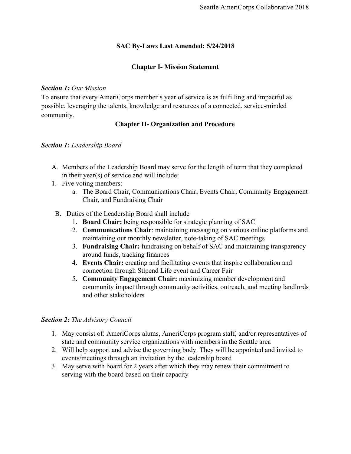# **SAC By-Laws Last Amended: 5/24/2018**

## **Chapter I- Mission Statement**

#### *Section 1: Our Mission*

To ensure that every AmeriCorps member's year of service is as fulfilling and impactful as possible, leveraging the talents, knowledge and resources of a connected, service-minded community.

# **Chapter II- Organization and Procedure**

### *Section 1: Leadership Board*

- A. Members of the Leadership Board may serve for the length of term that they completed in their year(s) of service and will include:
- 1. Five voting members:
	- a. The Board Chair, Communications Chair, Events Chair, Community Engagement Chair, and Fundraising Chair
- B. Duties of the Leadership Board shall include
	- 1. **Board Chair:** being responsible for strategic planning of SAC
	- 2. **Communications Chair**: maintaining messaging on various online platforms and maintaining our monthly newsletter, note-taking of SAC meetings
	- 3. **Fundraising Chair:** fundraising on behalf of SAC and maintaining transparency around funds, tracking finances
	- 4. **Events Chair:** creating and facilitating events that inspire collaboration and connection through Stipend Life event and Career Fair
	- 5. **Community Engagement Chair:** maximizing member development and community impact through community activities, outreach, and meeting landlords and other stakeholders

# *Section 2: The Advisory Council*

- 1. May consist of: AmeriCorps alums, AmeriCorps program staff, and/or representatives of state and community service organizations with members in the Seattle area
- 2. Will help support and advise the governing body. They will be appointed and invited to events/meetings through an invitation by the leadership board
- 3. May serve with board for 2 years after which they may renew their commitment to serving with the board based on their capacity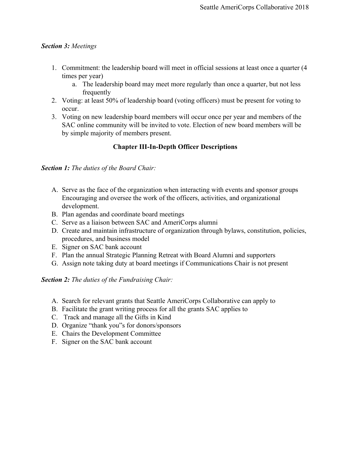## *Section 3: Meetings*

- 1. Commitment: the leadership board will meet in official sessions at least once a quarter (4 times per year)
	- a. The leadership board may meet more regularly than once a quarter, but not less frequently
- 2. Voting: at least 50% of leadership board (voting officers) must be present for voting to occur.
- 3. Voting on new leadership board members will occur once per year and members of the SAC online community will be invited to vote. Election of new board members will be by simple majority of members present.

# **Chapter III-In-Depth Officer Descriptions**

*Section 1: The duties of the Board Chair:*

- A. Serve as the face of the organization when interacting with events and sponsor groups Encouraging and oversee the work of the officers, activities, and organizational development.
- B. Plan agendas and coordinate board meetings
- C. Serve as a liaison between SAC and AmeriCorps alumni
- D. Create and maintain infrastructure of organization through bylaws, constitution, policies, procedures, and business model
- E. Signer on SAC bank account
- F. Plan the annual Strategic Planning Retreat with Board Alumni and supporters
- G. Assign note taking duty at board meetings if Communications Chair is not present

*Section 2: The duties of the Fundraising Chair:*

- A. Search for relevant grants that Seattle AmeriCorps Collaborative can apply to
- B. Facilitate the grant writing process for all the grants SAC applies to
- C. Track and manage all the Gifts in Kind
- D. Organize "thank you"s for donors/sponsors
- E. Chairs the Development Committee
- F. Signer on the SAC bank account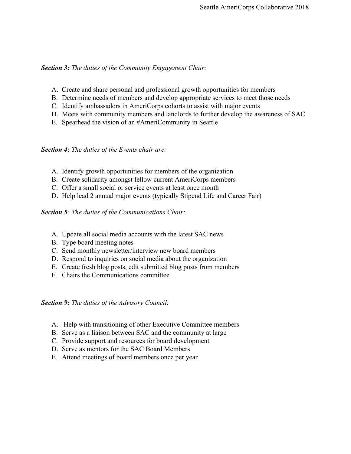#### *Section 3: The duties of the Community Engagement Chair:*

- A. Create and share personal and professional growth opportunities for members
- B. Determine needs of members and develop appropriate services to meet those needs
- C. Identify ambassadors in AmeriCorps cohorts to assist with major events
- D. Meets with community members and landlords to further develop the awareness of SAC
- E. Spearhead the vision of an #AmeriCommunity in Seattle

*Section 4: The duties of the Events chair are:*

- A. Identify growth opportunities for members of the organization
- B. Create solidarity amongst fellow current AmeriCorps members
- C. Offer a small social or service events at least once month
- D. Help lead 2 annual major events (typically Stipend Life and Career Fair)

# *Section 5: The duties of the Communications Chair:*

- A. Update all social media accounts with the latest SAC news
- B. Type board meeting notes
- C. Send monthly newsletter/interview new board members
- D. Respond to inquiries on social media about the organization
- E. Create fresh blog posts, edit submitted blog posts from members
- F. Chairs the Communications committee

*Section 9: The duties of the Advisory Council:*

- A. Help with transitioning of other Executive Committee members
- B. Serve as a liaison between SAC and the community at large
- C. Provide support and resources for board development
- D. Serve as mentors for the SAC Board Members
- E. Attend meetings of board members once per year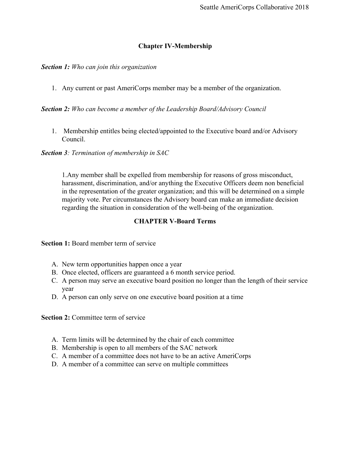# **Chapter IV-Membership**

#### *Section 1: Who can join this organization*

1. Any current or past AmeriCorps member may be a member of the organization.

## *Section 2: Who can become a member of the Leadership Board/Advisory Council*

1. Membership entitles being elected/appointed to the Executive board and/or Advisory Council.

*Section 3: Termination of membership in SAC*

1.Any member shall be expelled from membership for reasons of gross misconduct, harassment, discrimination, and/or anything the Executive Officers deem non beneficial in the representation of the greater organization; and this will be determined on a simple majority vote. Per circumstances the Advisory board can make an immediate decision regarding the situation in consideration of the well-being of the organization.

# **CHAPTER V-Board Terms**

**Section 1:** Board member term of service

- A. New term opportunities happen once a year
- B. Once elected, officers are guaranteed a 6 month service period.
- C. A person may serve an executive board position no longer than the length of their service year
- D. A person can only serve on one executive board position at a time

**Section 2:** Committee term of service

- A. Term limits will be determined by the chair of each committee
- B. Membership is open to all members of the SAC network
- C. A member of a committee does not have to be an active AmeriCorps
- D. A member of a committee can serve on multiple committees